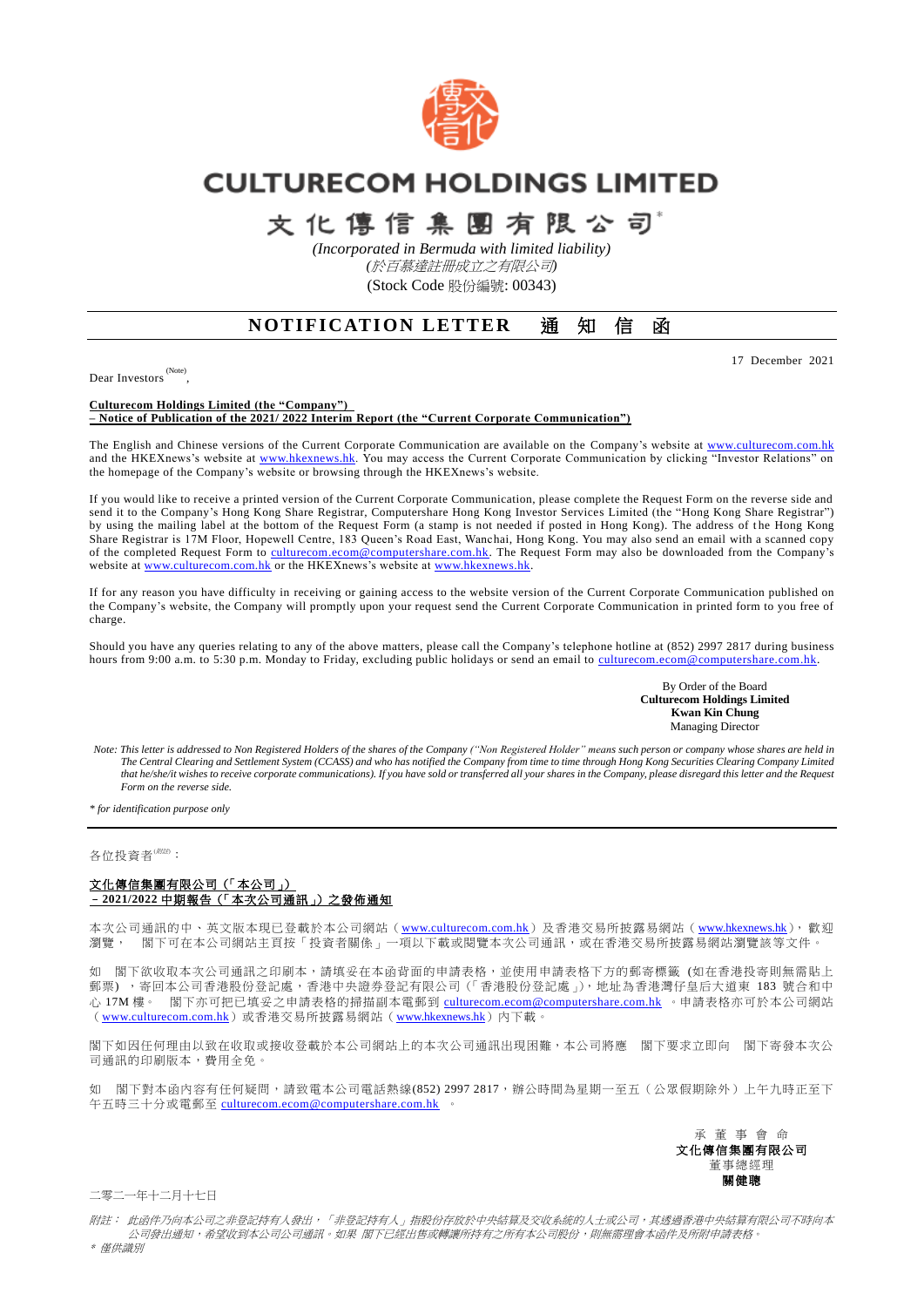

# **CULTURECOM HOLDINGS LIMITED**

# 文化傳信集團有限公司

*(Incorporated in Bermuda with limited liability) (*於百慕達註冊成立之有限公司*)* (Stock Code 股份編號: 00343)

## **NOTIFICATION LETTER 通知信函**

17 December 2021

Dear Investors<sup>(Note)</sup>,

**Culturecom Holdings Limited (the "Company") – Notice of Publication of the 2021/ 2022 Interim Report (the "Current Corporate Communication")**

The English and Chinese versions of the Current Corporate Communication are available on the Company's website at [www.culturecom.com.hk](http://www.culturecom.com.hk/) and the HKEXnews's website at [www.hkexnews.hk.](http://www.hkexnews.hk/) You may access the Current Corporate Communication by clicking "Investor Relations" on the homepage of the Company's website or browsing through the HKEXnews's website.

If you would like to receive a printed version of the Current Corporate Communication, please complete the Request Form on the reverse side and send it to the Company's Hong Kong Share Registrar, Computershare Hong Kong Investor Services Limited (the "Hong Kong Share Registrar") by using the mailing label at the bottom of the Request Form (a stamp is not needed if posted in Hong Kong). The address of the Hong Kong Share Registrar is 17M Floor, Hopewell Centre, 183 Queen's Road East, Wanchai, Hong Kong. You may also send an email with a scanned copy of the completed Request Form to [culturecom.ecom@computershare.com.hk.](mailto:culturecom.ecom@computershare.com.hk) The Request Form may also be downloaded from the Company's website at [www.culturecom.com.hk](http://www.culturecom.com.hk/) or the HKEXnews's website at www.hkexnews.hk

If for any reason you have difficulty in receiving or gaining access to the website version of the Current Corporate Communication published on the Company's website, the Company will promptly upon your request send the Current Corporate Communication in printed form to you free of charge.

Should you have any queries relating to any of the above matters, please call the Company's telephone hotline at (852) 2997 2817 during business hours from 9:00 a.m. to 5:30 p.m. Monday to Friday, excluding public holidays or send an email to culturecom.ecom@computershare.com.hk

> By Order of the Board **Culturecom Holdings Limited Kwan Kin Chung** Managing Director

*Note: This letter is addressed to Non Registered Holders of the shares of the Company ("Non Registered Holder" means such person or company whose shares are held in The Central Clearing and Settlement System (CCASS) and who has notified the Company from time to time through Hong Kong Securities Clearing Company Limited that he/she/it wishes to receive corporate communications). If you have sold or transferred all your shares in the Company, please disregard this letter and the Request Form on the reverse side.*

*\* for identification purpose only*

#### 各位投資者<sup>(附註)</sup>:

#### 文化傳信集團有限公司(「本公司」) –**2021/2022** 中期報告(「本次公司通訊」)之發佈通知

本次公司通訊的中、英文版本現已登載於本公司網站([www.culturecom.com.hk](http://www.culturecom.com.hk/))及香港交易所披露易網站([www.hkexnews.hk](http://www.hkexnews.hk/)), 歡迎 瀏覽, 閣下可在本公司網站主頁按「投資者關係」一項以下載或閱覽本次公司通訊,或在香港交易所披露易網站瀏覽該等文件。

如 閣下欲收取本次公司通訊之印刷本,請填妥在本函背面的申請表格,並使用申請表格下方的郵寄標籤 (如在香港投寄則無需貼上 郵票),寄回本公司香港股份登記處,香港中央證券登記有限公司(「香港股份登記處」),地址為香港灣仔皇后大道東 183 號合和中 心 17M 樓。 閣下亦可把已填妥之申請表格的掃描副本電郵到 [culturecom.ecom@computershare.com.hk](mailto:culturecom.ecom@computershare.com.hk) 。申請表格亦可於本公司網站 ([www.culturecom.com.hk](http://www.culturecom.com.hk/))或香港交易所披露易網站([www.hkexnews.hk](http://www.hkexnews.hk/))內下載。

閣下如因任何理由以致在收取或接收登載於本公司網站上的本次公司通訊出現困難,本公司將應 閣下要求立即向 閣下寄發本次公 司通訊的印刷版本,費用全免。

如 閣下對本函內容有任何疑問,請致電本公司電話熱線(852) 2997 2817,辦公時間為星期一至五(公眾假期除外)上午九時正至下 午五時三十分或電郵至 [culturecom.ecom@computershare.com.hk](mailto:culturecom.ecom@computershare.com.hk) 。

> 承 董 事 會 命 文化傳信集團有限公司 董事總經理 關健聰

二零二一年十二月十七日

附註: 此函件乃向本公司之非登記持有人發出,「非登記持有人」指股份存放於中央結算及交收系統的人士或公司,其透過香港中央結算有限公司不時向本 公司發出通知,希望收到本公司公司通訊。如果 閣下已經出售或轉讓所持有之所有本公司股份,則無需理會本函件及所附申請表格。

\* 僅供識別